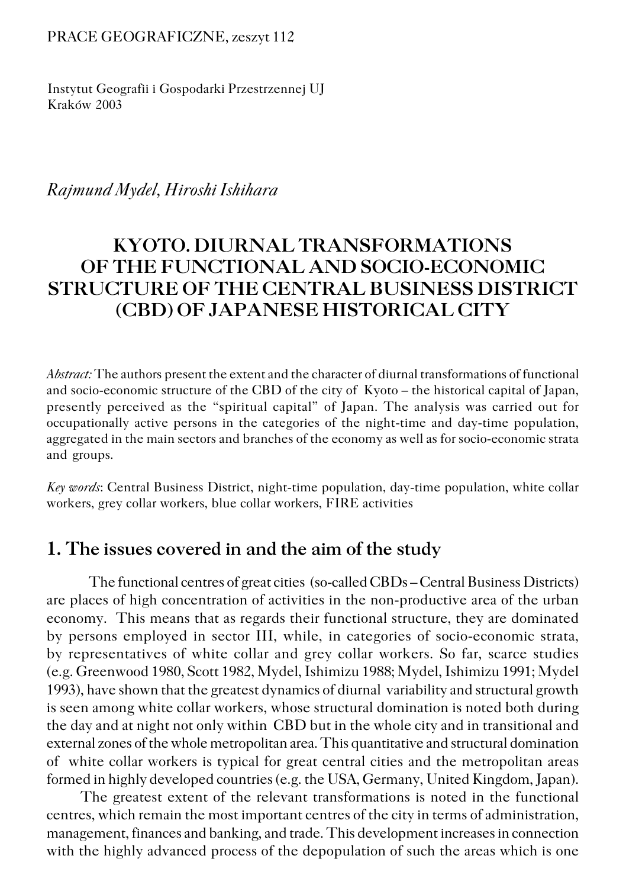#### PRACE GEOGRAFICZNE, zeszyt 112

Instytut Geografii i Gospodarki Przestrzennej UJ Kraków 2003

*Rajmund Mydel, Hiroshi Ishihara*

# **KYOTO. DIURNAL TRANSFORMATIONS OF THE FUNCTIONAL AND SOCIO−ECONOMIC STRUCTURE OF THE CENTRAL BUSINESS DISTRICT (CBD) OF JAPANESE HISTORICAL CITY**

*Abstract:* The authors present the extent and the character of diurnal transformations of functional and socio−economic structure of the CBD of the city of Kyoto – the historical capital of Japan, presently perceived as the "spiritual capital" of Japan. The analysis was carried out for occupationally active persons in the categories of the night−time and day−time population, aggregated in the main sectors and branches of the economy as well as for socio−economic strata and groups.

*Key words*: Central Business District, night−time population, day−time population, white collar workers, grey collar workers, blue collar workers, FIRE activities

### **1. The issues covered in and the aim of the study**

The functional centres of great cities (so−called CBDs – Central Business Districts) are places of high concentration of activities in the non−productive area of the urban economy. This means that as regards their functional structure, they are dominated by persons employed in sector III, while, in categories of socio−economic strata, by representatives of white collar and grey collar workers. So far, scarce studies (e.g. Greenwood 1980, Scott 1982, Mydel, Ishimizu 1988; Mydel, Ishimizu 1991; Mydel 1993), have shown that the greatest dynamics of diurnal variability and structural growth is seen among white collar workers, whose structural domination is noted both during the day and at night not only within CBD but in the whole city and in transitional and external zones of the whole metropolitan area. This quantitative and structural domination of white collar workers is typical for great central cities and the metropolitan areas formed in highly developed countries (e.g. the USA, Germany, United Kingdom, Japan).

The greatest extent of the relevant transformations is noted in the functional centres, which remain the most important centres of the city in terms of administration, management, finances and banking, and trade. This development increases in connection with the highly advanced process of the depopulation of such the areas which is one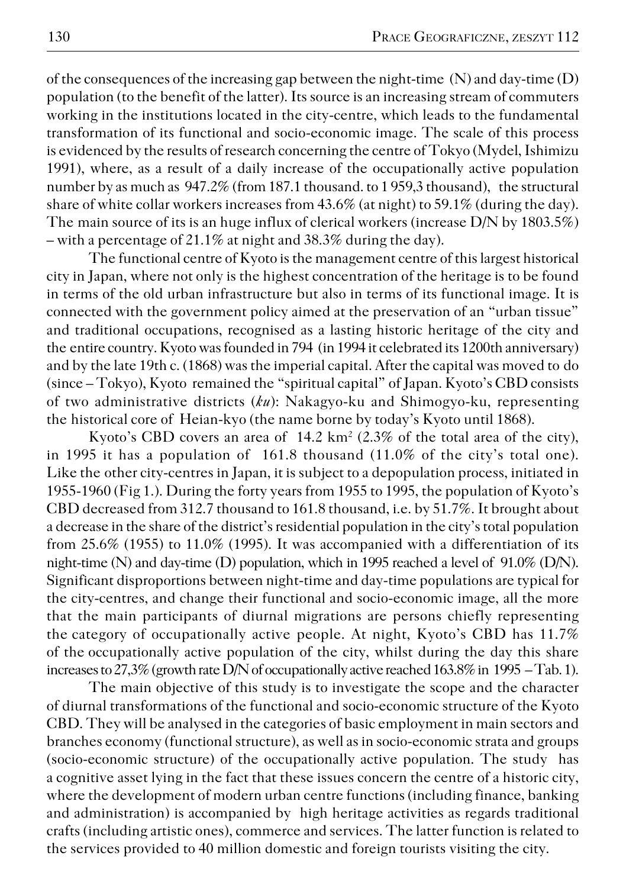of the consequences of the increasing gap between the night−time (N) and day−time (D) population (to the benefit of the latter). Its source is an increasing stream of commuters working in the institutions located in the city−centre, which leads to the fundamental transformation of its functional and socio−economic image. The scale of this process is evidenced by the results of research concerning the centre of Tokyo (Mydel, Ishimizu 1991), where, as a result of a daily increase of the occupationally active population number by as much as 947.2% (from 187.1 thousand. to 1 959,3 thousand), the structural share of white collar workers increases from 43.6% (at night) to 59.1% (during the day). The main source of its is an huge influx of clerical workers (increase  $D/N$  by  $1803.5\%)$ – with a percentage of 21.1% at night and 38.3% during the day).

The functional centre of Kyoto is the management centre of this largest historical city in Japan, where not only is the highest concentration of the heritage is to be found in terms of the old urban infrastructure but also in terms of its functional image. It is connected with the government policy aimed at the preservation of an "urban tissue" and traditional occupations, recognised as a lasting historic heritage of the city and the entire country. Kyoto was founded in 794 (in 1994 it celebrated its 1200th anniversary) and by the late 19th c. (1868) was the imperial capital. After the capital was moved to do (since – Tokyo), Kyoto remained the "spiritual capital" of Japan. Kyoto's CBD consists of two administrative districts (*ku*): Nakagyo−ku and Shimogyo−ku, representing the historical core of Heian-kyo (the name borne by today's Kyoto until 1868).

Kyoto's CBD covers an area of  $14.2 \text{ km}^2$  (2.3% of the total area of the city), in 1995 it has a population of 161.8 thousand (11.0% of the city's total one). Like the other city-centres in Japan, it is subject to a depopulation process, initiated in 1955−1960 (Fig 1.). During the forty years from 1955 to 1995, the population of Kyoto's CBD decreased from 312.7 thousand to 161.8 thousand, i.e. by 51.7%. It brought about a decrease in the share of the district's residential population in the city's total population from 25.6% (1955) to 11.0% (1995). It was accompanied with a differentiation of its night−time (N) and day−time (D) population, which in 1995 reached a level of 91.0% (D/N). Significant disproportions between night−time and day−time populations are typical for the city−centres, and change their functional and socio−economic image, all the more that the main participants of diurnal migrations are persons chiefly representing the category of occupationally active people. At night, Kyoto's CBD has 11.7% of the occupationally active population of the city, whilst during the day this share increases to 27,3% (growth rate D/N of occupationally active reached 163.8% in 1995 – Tab. 1).

The main objective of this study is to investigate the scope and the character of diurnal transformations of the functional and socio−economic structure of the Kyoto CBD. They will be analysed in the categories of basic employment in main sectors and branches economy (functional structure), as well as in socio−economic strata and groups (socio−economic structure) of the occupationally active population. The study has a cognitive asset lying in the fact that these issues concern the centre of a historic city, where the development of modern urban centre functions (including finance, banking and administration) is accompanied by high heritage activities as regards traditional crafts (including artistic ones), commerce and services. The latter function is related to the services provided to 40 million domestic and foreign tourists visiting the city.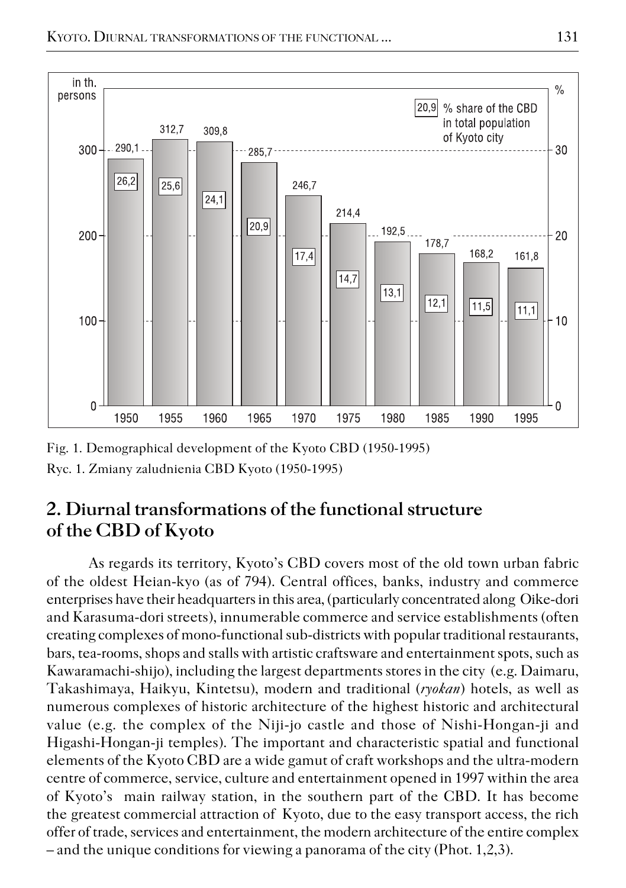

Fig. 1. Demographical development of the Kyoto CBD (1950−1995) Ryc. 1. Zmiany zaludnienia CBD Kyoto (1950−1995)

## **2. Diurnal transformations of the functional structure of the CBD of Kyoto**

As regards its territory, Kyoto's CBD covers most of the old town urban fabric of the oldest Heian−kyo (as of 794). Central offices, banks, industry and commerce enterprises have their headquarters in this area, (particularly concentrated along Oike−dori and Karasuma−dori streets), innumerable commerce and service establishments (often creating complexes of mono−functional sub−districts with popular traditional restaurants, bars, tea−rooms, shops and stalls with artistic craftsware and entertainment spots, such as Kawaramachi−shijo), including the largest departments stores in the city (e.g. Daimaru, Takashimaya, Haikyu, Kintetsu), modern and traditional (*ryokan*) hotels, as well as numerous complexes of historic architecture of the highest historic and architectural value (e.g. the complex of the Niji−jo castle and those of Nishi−Hongan−ji and Higashi−Hongan−ji temples). The important and characteristic spatial and functional elements of the Kyoto CBD are a wide gamut of craft workshops and the ultra−modern centre of commerce, service, culture and entertainment opened in 1997 within the area of Kyoto's main railway station, in the southern part of the CBD. It has become thegreatest commercial attraction of Kyoto, due to the easy transport access, the rich offer of trade, services and entertainment, the modern architecture of the entire complex – and the unique conditions for viewing a panorama of the city (Phot. 1,2,3).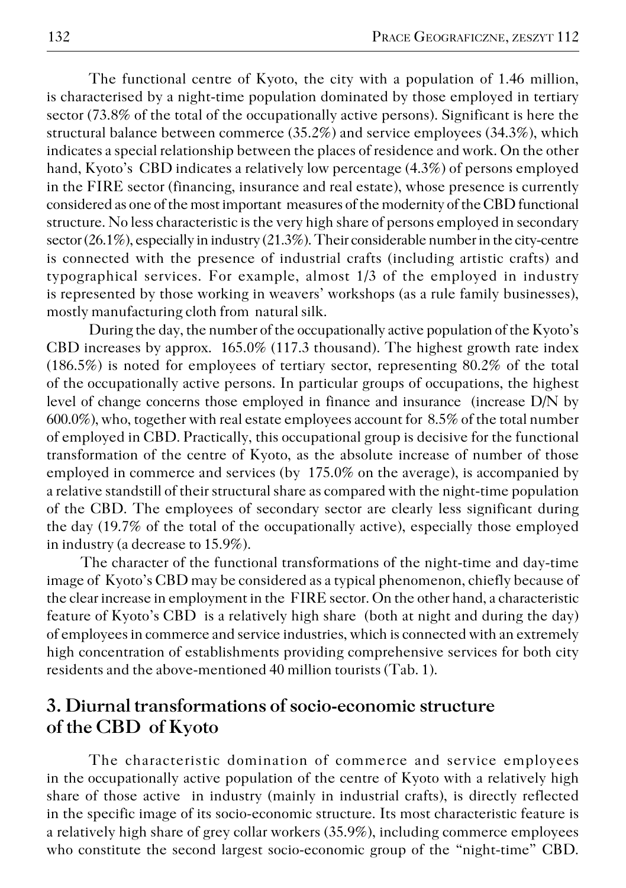The functional centre of Kyoto, the city with a population of 1.46 million, is characterised by a night−time population dominated by those employed in tertiary sector (73.8% of the total of the occupationally active persons). Significant is here the structural balance between commerce (35.2%) and service employees (34.3%), which indicates a special relationship between the places of residence and work. On the other hand, Kyoto's CBD indicates a relatively low percentage (4.3%) of persons employed in the FIRE sector (financing, insurance and real estate), whose presence is currently considered as one of the most important measures of the modernity of the CBD functional structure. No less characteristic is the very high share of persons employed in secondary sector (26.1%), especially in industry (21.3%). Their considerable number in the city−centre is connected with the presence of industrial crafts (including artistic crafts) and typographical services. For example, almost 1/3 of the employed in industry is represented by those working in weavers' workshops (as a rule family businesses), mostly manufacturing cloth from natural silk.

During the day, the number of the occupationally active population of the Kyoto's CBD increases by approx. 165.0% (117.3 thousand). The highest growth rate index (186.5%) is noted for employees of tertiary sector, representing 80.2% of the total of the occupationally active persons. In particular groups of occupations, the highest level of change concerns those employed in finance and insurance (increase D/N by 600.0%), who, together with real estate employees account for 8.5% of the total number of employed in CBD. Practically, this occupational group is decisive for the functional transformation of the centre of Kyoto, as the absolute increase of number of those employed in commerce and services (by 175.0% on the average), is accompanied by a relative standstill of their structural share as compared with the night−time population of the CBD. The employees of secondary sector are clearly less significant during the day (19.7% of the total of the occupationally active), especially those employed in industry (a decrease to 15.9%).

The character of the functional transformations of the night−time and day−time image of Kyoto's CBD may be considered as a typical phenomenon, chiefly because of the clear increase in employment in the FIRE sector. On the other hand, a characteristic feature of Kyoto's CBD is a relatively high share (both at night and during the day) of employees in commerce and service industries, which is connected with an extremely high concentration of establishments providing comprehensive services for both city residents and the above−mentioned 40 million tourists (Tab. 1).

### **3. Diurnal transformations of socio−economic structure of the CBD of Kyoto**

The characteristic domination of commerce and service employees in the occupationally active population of the centre of Kyoto with a relatively high share of those active in industry (mainly in industrial crafts), is directly reflected in thespecific image of its socio−economic structure. Its most characteristic feature is a relatively high share of grey collar workers (35.9%), including commerce employees who constitute the second largest socio−economic group of the "night−time" CBD.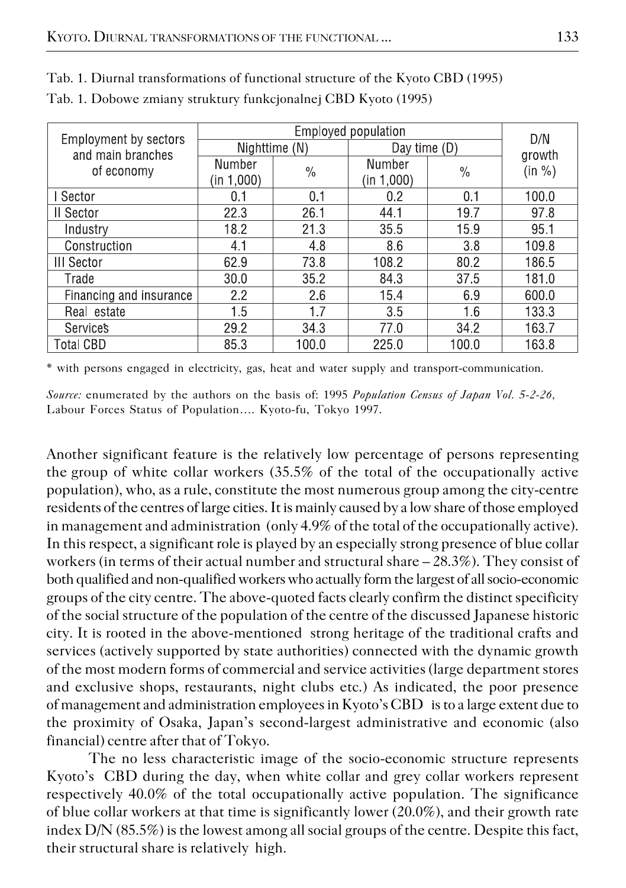| Employment by sectors<br>and main branches<br>of economy |                      | D/N   |                      |               |        |
|----------------------------------------------------------|----------------------|-------|----------------------|---------------|--------|
|                                                          | Nighttime (N)        |       | Day time $(D)$       |               | growth |
|                                                          | Number<br>(in 1,000) | $\%$  | Number<br>(in 1,000) | $\frac{0}{0}$ | (in %) |
| I Sector                                                 | 0.1                  | 0.1   | 0.2                  | 0.1           | 100.0  |
| <b>II</b> Sector                                         | 22.3                 | 26.1  | 44.1                 | 19.7          | 97.8   |
| Industry                                                 | 18.2                 | 21.3  | 355                  | 15.9          | 95.1   |
| Construction                                             | 4.1                  | 4.8   | 8.6                  | 3.8           | 109.8  |
| <b>III</b> Sector                                        | 62.9                 | 73.8  | 108.2                | 80.2          | 186.5  |
| Trade                                                    | 30.0                 | 35.2  | 84.3                 | 37.5          | 181.0  |
| Financing and insurance                                  | 2.2                  | 2.6   | 15.4                 | 6.9           | 600.0  |
| Real estate                                              | 1.5                  | 1.7   | 3.5                  | 1.6           | 133.3  |
| <b>Services</b>                                          | 29.2                 | 34.3  | 77.0                 | 34.2          | 163.7  |
| <b>Total CBD</b>                                         | 85.3                 | 100.0 | 225.0                | 100.0         | 163.8  |

Tab. 1. Diurnal transformations of functional structure of the Kyoto CBD (1995) Tab. 1. Dobowe zmiany struktury funkcjonalnej CBD Kyoto (1995)

\* with persons engaged in electricity, gas, heat and water supply and transport−communication.

*Source:* enumerated by the authors on the basis of: 1995 *Population Census of Japan Vol. 5−2−26,* Labour Forces Status of Population…. Kyoto−fu, Tokyo 1997.

Another significant feature is the relatively low percentage of persons representing thegroup of white collar workers (35.5% of the total of the occupationally active population), who, as a rule, constitute the most numerous group among the city−centre residents of the centres of large cities. It is mainly caused by a low share of those employed in management and administration (only 4.9% of the total of the occupationally active). In this respect, a significant role is played by an especially strong presence of blue collar workers (in terms of their actual number and structural share – 28.3%). They consist of both qualified and non−qualified workers who actually form the largest of all socio−economic groups of the city centre. The above−quoted facts clearly confirm the distinct specificity of the social structure of the population of the centre of the discussed Japanese historic city. It is rooted in the above−mentioned strong heritage of the traditional crafts and services (actively supported by state authorities) connected with the dynamic growth of the most modern forms of commercial and service activities (large department stores and exclusive shops, restaurants, night clubs etc.) As indicated, the poor presence of management and administration employees in Kyoto's CBD is to a large extent due to the proximity of Osaka, Japan's second−largest administrative and economic (also financial) centre after that of Tokyo.

The no less characteristic image of the socio−economic structure represents Kyoto's CBD during the day, when white collar and grey collar workers represent respectively 40.0% of the total occupationally active population. The significance of blue collar workers at that time is significantly lower (20.0%), and their growth rate index D/N (85.5%) is the lowest among all social groups of the centre. Despite this fact, their structural share is relatively high.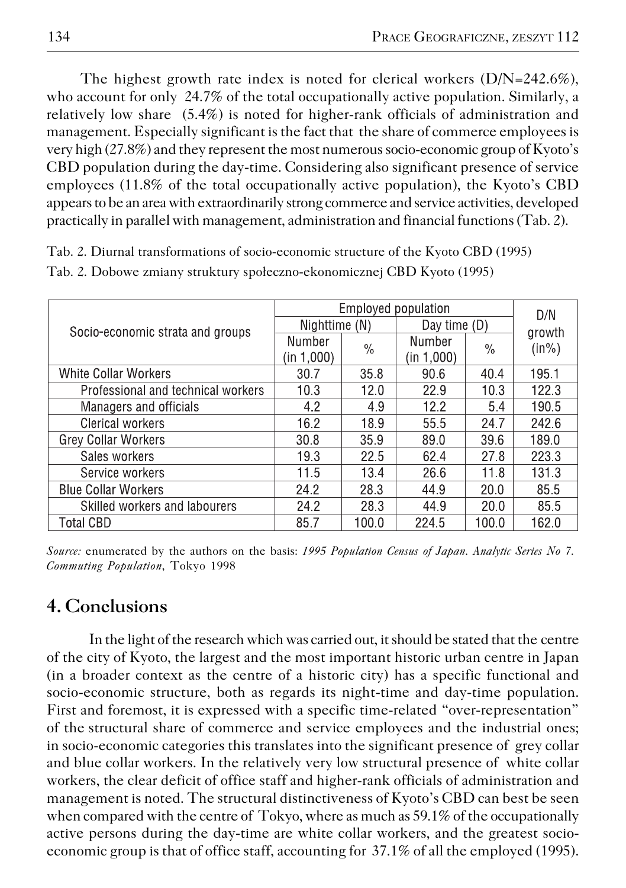The highest growth rate index is noted for clerical workers (D/N=242.6%), who account for only 24.7% of the total occupationally active population. Similarly, a relatively low share (5.4%) is noted for higher−rank officials of administration and management. Especially significant is the fact that the share of commerce employees is very high (27.8%) and they represent the most numerous socio−economic group of Kyoto's CBD population during the day−time. Considering also significant presence of service employees (11.8% of the total occupationally active population), the Kyoto's CBD appears to be an area with extraordinarily strong commerce and service activities, developed practically in parallel with management, administration and financial functions (Tab. 2).

Tab. 2. Diurnal transformations of socio−economic structure of the Kyoto CBD (1995) Tab. 2. Dobowe zmiany struktury społeczno−ekonomicznej CBD Kyoto (1995)

|                                    | Employed population | D/N   |                |               |          |
|------------------------------------|---------------------|-------|----------------|---------------|----------|
| Socio-economic strata and groups   | Nighttime (N)       |       | Day time $(D)$ |               | growth   |
|                                    | Number              | $\%$  | Number         | $\frac{0}{0}$ | $(in\%)$ |
|                                    | (in 1,000)          |       | (in 1,000)     |               |          |
| White Collar Workers               | 30.7                | 35.8  | 90.6           | 40.4          | 195.1    |
| Professional and technical workers | 10.3                | 12.0  | 22.9           | 10.3          | 122.3    |
| Managers and officials             | 4.2                 | 4.9   | 12.2           | 5.4           | 190.5    |
| Clerical workers                   | 16.2                | 18.9  | 55.5           | 24.7          | 242.6    |
| Grey Collar Workers                | 30.8                | 35.9  | 89.0           | 39.6          | 189.0    |
| Sales workers                      | 19.3                | 22.5  | 62.4           | 27.8          | 223.3    |
| Service workers                    | 11.5                | 13.4  | 26.6           | 11.8          | 131.3    |
| <b>Blue Collar Workers</b>         | 24.2                | 28.3  | 44.9           | 20.0          | 85.5     |
| Skilled workers and labourers      | 24.2                | 28.3  | 44.9           | 20.0          | 85.5     |
| <b>Total CBD</b>                   | 85.7                | 100.0 | 224.5          | 100.0         | 162.0    |

*Source:* enumerated by the authors on the basis: *1995 Population Census of Japan. Analytic Series No 7. Commuting Population*, Tokyo 1998

### **4. Conclusions**

In the light of the research which was carried out, it should be stated that the centre of the city of Kyoto, the largest and the most important historic urban centre in Japan (in a broader context as the centre of a historic city) has a specific functional and socio−economic structure, both as regards its night−time and day−time population. First and foremost, it is expressed with a specific time−related "over−representation" of the structural share of commerce and service employees and the industrial ones; in socio−economic categories this translates into the significant presence of grey collar and blue collar workers. In the relatively very low structural presence of white collar workers, the clear deficit of office staff and higher−rank officials of administration and management is noted. The structural distinctiveness of Kyoto's CBD can best be seen when compared with the centre of Tokyo, where as much as 59.1% of the occupationally active persons during the day−time are white collar workers, and the greatest socio− economic group is that of office staff, accounting for 37.1% of all the employed (1995).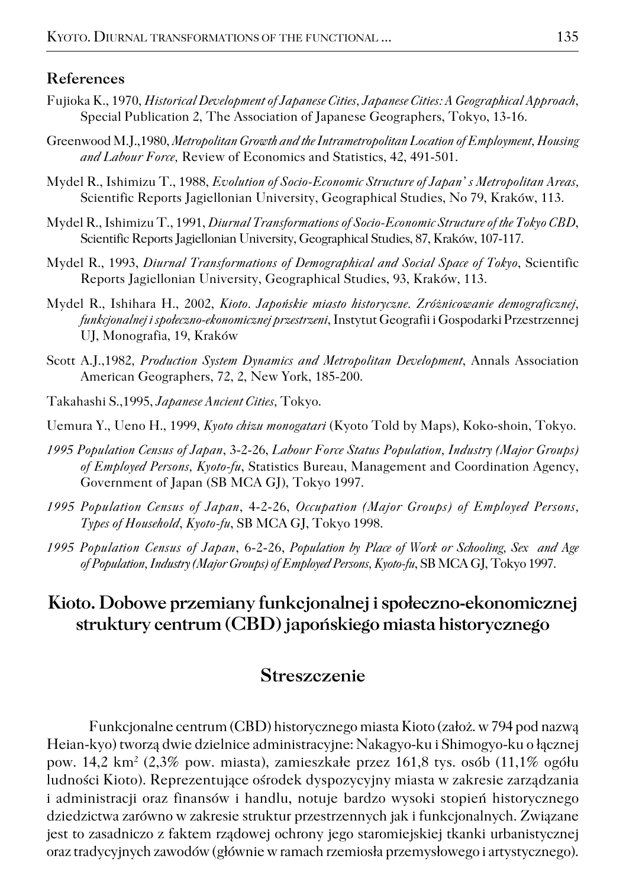#### **References**

- Fujioka K., 1970, *Historical Development of Japanese Cities, Japanese Cities: A Geographical Approach*, Special Publication 2, The Association of Japanese Geographers, Tokyo, 13−16.
- Greenwood M.J.,1980, *Metropolitan Growth and the Intrametropolitan Location of Employment, Housing and Labour Force,* Review of Economics and Statistics, 42, 491−501.
- Mydel R., Ishimizu T., 1988, *Evolution of Socio−Economic Structure of Japan' s Metropolitan Areas,* Scientific Reports Jagiellonian University, Geographical Studies, No 79, Kraków, 113.
- Mydel R., Ishimizu T., 1991, *Diurnal Transformations of Socio−Economic Structure of the Tokyo CBD*, Scientific Reports Jagiellonian University, Geographical Studies, 87, Kraków, 107−117.
- Mydel R., 1993, *Diurnal Transformations of Demographical and Social Space of Tokyo*, Scientific Reports Jagiellonian University, Geographical Studies, 93, Kraków, 113.
- Mydel R., Ishihara H., 2002, *Kioto. Japońskie miasto historyczne. Zróżnicowanie demograficznej, funkcjonalnej i społeczno−ekonomicznej przestrzeni*, Instytut Geografii i Gospodarki Przestrzennej UJ, Monografia, 19, Kraków
- Scott A.J.,1982*, Production System Dynamics and Metropolitan Development*, Annals Association American Geographers, 72, 2, New York, 185−200.
- Takahashi S.,1995, *Japanese Ancient Cities,* Tokyo.

Uemura Y., Ueno H., 1999, *Kyoto chizu monogatari* (Kyoto Told by Maps), Koko−shoin, Tokyo.

- *1995 Population Census of Japan*, 3−2−26, *Labour Force Status Population, Industry (Major Groups) of Employed Persons, Kyoto−fu*, Statistics Bureau, Management and Coordination Agency, Government of Japan (SB MCA GJ), Tokyo 1997.
- *1995 Population Census of Japan*, 4−2−26, *Occupation (Major Groups) of Employed Persons, Types of Household*, *Kyoto−fu*, SB MCA GJ, Tokyo 1998.
- *1995 Population Census of Japan*, 6−2−26, *Population by Place of Work or Schooling, Sex and Age of Population, Industry (Major Groups) of Employed Persons, Kyoto−fu*, SB MCA GJ, Tokyo 1997.

# **Kioto. Dobowe przemiany funkcjonalnej i społeczno−ekonomicznej struktury centrum (CBD) japońskiego miasta historycznego**

#### **Streszczenie**

Funkcjonalne centrum (CBD) historycznego miasta Kioto (założ. w 794 pod nazwą Heian−kyo) tworzą dwie dzielnice administracyjne: Nakagyo−ku i Shimogyo−ku o łącznej pow. 14,2 km<sup>2</sup> (2,3% pow. miasta), zamieszkałe przez 161,8 tys. osób (11,1% ogółu ludności Kioto). Reprezentujące ośrodek dyspozycyjny miasta w zakresie zarządzania i administracji oraz finansów i handlu, notuje bardzo wysoki stopień historycznego dziedzictwa zarówno w zakresie struktur przestrzennych jak i funkcjonalnych. Związane jest to zasadniczo z faktem rządowej ochrony jego staromiejskiej tkanki urbanistycznej oraz tradycyjnych zawodów (głównie w ramach rzemiosła przemysłowego i artystycznego).